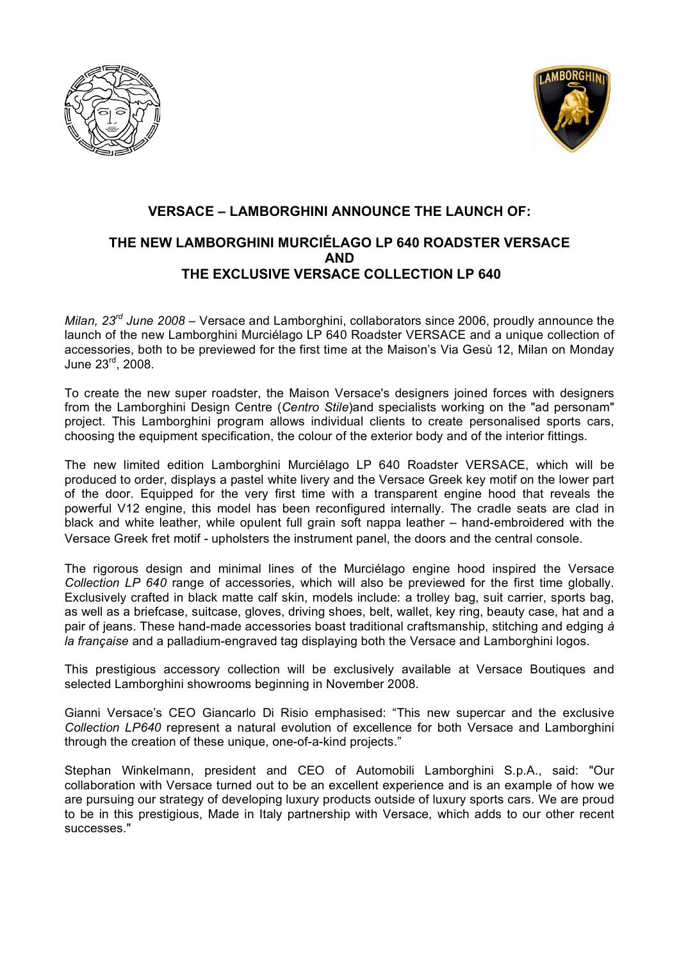



## **VERSACE – LAMBORGHINI ANNOUNCE THE LAUNCH OF: THE NEW LAMBORGHINI MURCIÉLAGO LP 640 ROADSTER VERSACE AND THE EXCLUSIVE VERSACE COLLECTION LP 640**

*Milan, 23rd June 2008 –* Versace and Lamborghini, collaborators since 2006, proudly announce the launch of the new Lamborghini Murciélago LP 640 Roadster VERSACE and a unique collection of accessories, both to be previewed for the first time at the Maison's Via Gesù 12, Milan on Monday June 23rd , 2008.

To create the new super roadster, the Maison Versace's designers joined forces with designers from the Lamborghini Design Centre (*Centro Stile*)and specialists working on the "ad personam" project. This Lamborghini program allows individual clients to create personalised sports cars, choosing the equipment specification, the colour of the exterior body and of the interior fittings.

The new limited edition Lamborghini Murciélago LP 640 Roadster VERSACE, which will be produced to order, displays a pastel white livery and the Versace Greek key motif on the lower part of the door. Equipped for the very first time with a transparent engine hood that reveals the powerful V12 engine, this model has been reconfigured internally. The cradle seats are clad in black and white leather, while opulent full grain soft nappa leather – hand-embroidered with the Versace Greek fret motif - upholsters the instrument panel, the doors and the central console.

The rigorous design and minimal lines of the Murciélago engine hood inspired the Versace *Collection LP 640* range of accessories, which will also be previewed for the first time globally. Exclusively crafted in black matte calf skin, models include: a trolley bag, suit carrier, sports bag, as well as a briefcase, suitcase, gloves, driving shoes, belt, wallet, key ring, beauty case, hat and a pair of jeans. These hand-made accessories boast traditional craftsmanship, stitching and edging *à la française* and a palladium-engraved tag displaying both the Versace and Lamborghini logos.

This prestigious accessory collection will be exclusively available at Versace Boutiques and selected Lamborghini showrooms beginning in November 2008.

Gianni Versace's CEO Giancarlo Di Risio emphasised: "This new supercar and the exclusive *Collection LP640* represent a natural evolution of excellence for both Versace and Lamborghini through the creation of these unique, one-of-a-kind projects."

Stephan Winkelmann, president and CEO of Automobili Lamborghini S.p.A., said: "Our collaboration with Versace turned out to be an excellent experience and is an example of how we are pursuing our strategy of developing luxury products outside of luxury sports cars. We are proud to be in this prestigious, Made in Italy partnership with Versace, which adds to our other recent successes."